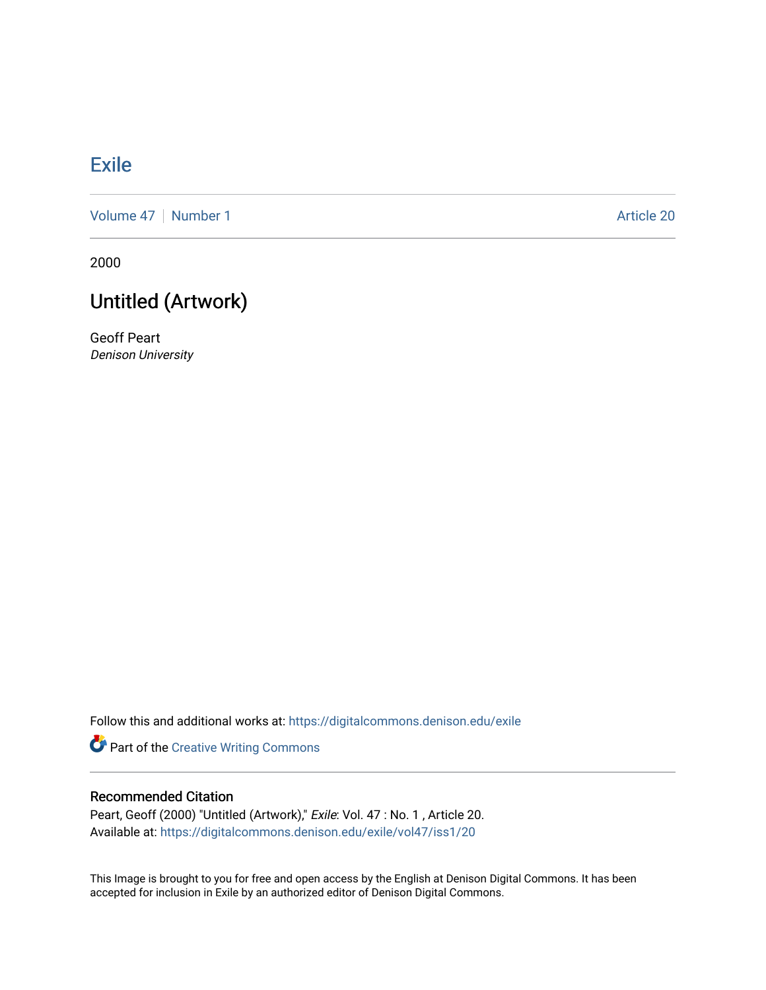## **[Exile](https://digitalcommons.denison.edu/exile)**

[Volume 47](https://digitalcommons.denison.edu/exile/vol47) | [Number 1](https://digitalcommons.denison.edu/exile/vol47/iss1) Article 20

2000

## Untitled (Artwork)

Geoff Peart Denison University

Follow this and additional works at: [https://digitalcommons.denison.edu/exile](https://digitalcommons.denison.edu/exile?utm_source=digitalcommons.denison.edu%2Fexile%2Fvol47%2Fiss1%2F20&utm_medium=PDF&utm_campaign=PDFCoverPages) 

Part of the [Creative Writing Commons](http://network.bepress.com/hgg/discipline/574?utm_source=digitalcommons.denison.edu%2Fexile%2Fvol47%2Fiss1%2F20&utm_medium=PDF&utm_campaign=PDFCoverPages) 

## Recommended Citation

Peart, Geoff (2000) "Untitled (Artwork)," Exile: Vol. 47 : No. 1, Article 20. Available at: [https://digitalcommons.denison.edu/exile/vol47/iss1/20](https://digitalcommons.denison.edu/exile/vol47/iss1/20?utm_source=digitalcommons.denison.edu%2Fexile%2Fvol47%2Fiss1%2F20&utm_medium=PDF&utm_campaign=PDFCoverPages)

This Image is brought to you for free and open access by the English at Denison Digital Commons. It has been accepted for inclusion in Exile by an authorized editor of Denison Digital Commons.